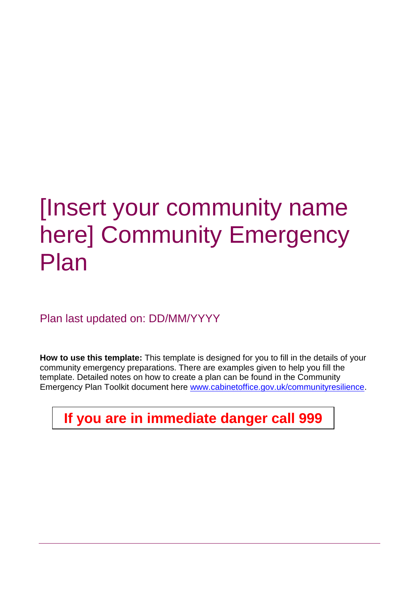# [Insert your community name here] Community Emergency Plan

Plan last updated on: DD/MM/YYYY

**How to use this template:** This template is designed for you to fill in the details of your community emergency preparations. There are examples given to help you fill the template. Detailed notes on how to create a plan can be found in the Community Emergency Plan Toolkit document here [www.cabinetoffice.gov.uk/communityresilience.](http://www.cabinetoffice.gov.uk/communityresilience)

**If you are in immediate danger call 999**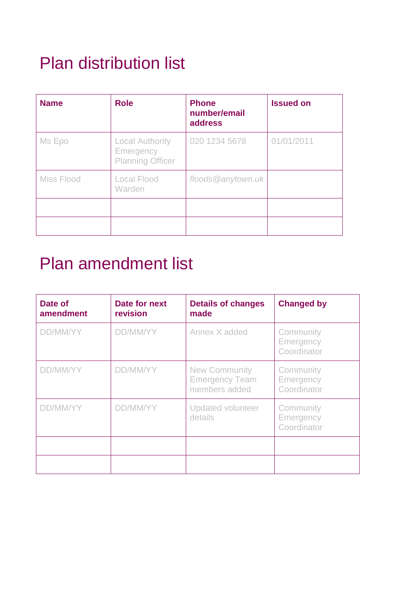## Plan distribution list

| <b>Name</b> | <b>Role</b>                                                    | <b>Phone</b><br>number/email<br>address | <b>Issued on</b> |
|-------------|----------------------------------------------------------------|-----------------------------------------|------------------|
| Ms Epo      | <b>Local Authority</b><br>Emergency<br><b>Planning Officer</b> | 020 1234 5678                           | 01/01/2011       |
| Miss Flood  | Local Flood<br><b>Warden</b>                                   | floods@anytown.uk                       |                  |
|             |                                                                |                                         |                  |
|             |                                                                |                                         |                  |

## Plan amendment list

| Date of<br>amendment | Date for next<br>revision | <b>Details of changes</b><br>made                              | <b>Changed by</b>                     |
|----------------------|---------------------------|----------------------------------------------------------------|---------------------------------------|
| DD/MM/YY             | DD/MM/YY                  | Annex X added                                                  | Community<br>Emergency<br>Coordinator |
| DD/MM/YY             | DD/MM/YY                  | <b>New Community</b><br><b>Emergency Team</b><br>members added | Community<br>Emergency<br>Coordinator |
| DD/MM/YY             | DD/MM/YY                  | <b>Updated volunteer</b><br>details                            | Community<br>Emergency<br>Coordinator |
|                      |                           |                                                                |                                       |
|                      |                           |                                                                |                                       |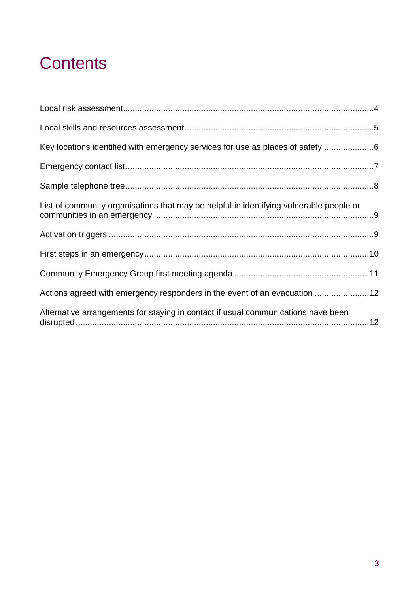## **Contents**

| Key locations identified with emergency services for use as places of safety |
|------------------------------------------------------------------------------|
|                                                                              |
|                                                                              |
|                                                                              |
|                                                                              |
|                                                                              |
|                                                                              |
| Actions agreed with emergency responders in the event of an evacuation 12    |
|                                                                              |
|                                                                              |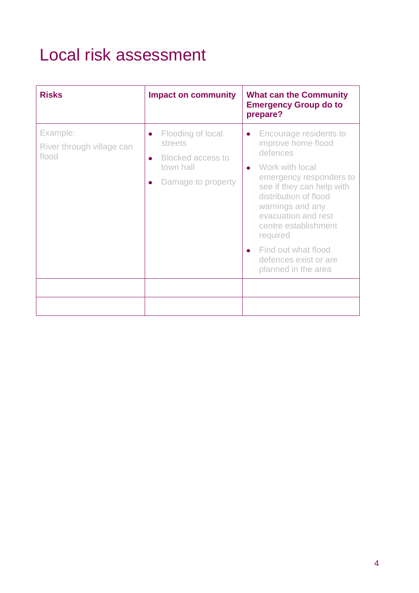## <span id="page-3-0"></span>Local risk assessment

| <b>Risks</b>                                   | <b>Impact on community</b>                                                                                            | <b>What can the Community</b><br><b>Emergency Group do to</b><br>prepare?                                                                                                                                                                                                                                                                    |
|------------------------------------------------|-----------------------------------------------------------------------------------------------------------------------|----------------------------------------------------------------------------------------------------------------------------------------------------------------------------------------------------------------------------------------------------------------------------------------------------------------------------------------------|
| Example:<br>River through village can<br>flood | Flooding of local<br>$\bullet$<br>streets<br><b>Blocked access to</b><br>$\bullet$<br>town hall<br>Damage to property | Encourage residents to<br>$\bullet$<br>improve home flood<br>defences<br>Work with local<br>$\bullet$<br>emergency responders to<br>see if they can help with<br>distribution of flood<br>warnings and any<br>evacuation and rest<br>centre establishment<br>required<br>Find out what flood<br>defences exist or are<br>planned in the area |
|                                                |                                                                                                                       |                                                                                                                                                                                                                                                                                                                                              |
|                                                |                                                                                                                       |                                                                                                                                                                                                                                                                                                                                              |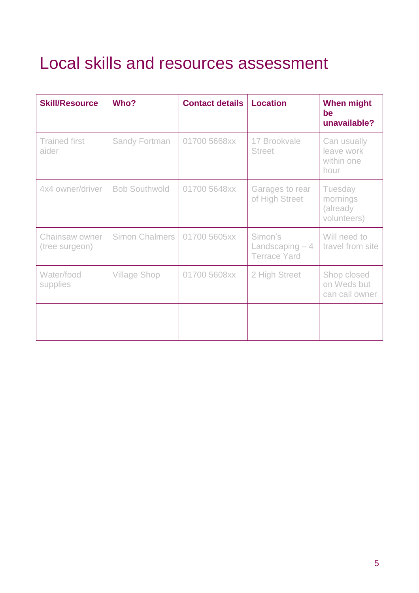## <span id="page-4-0"></span>Local skills and resources assessment

| <b>Skill/Resource</b>            | Who?                 | <b>Contact details</b> | <b>Location</b>                                    | <b>When might</b><br>be<br>unavailable?         |
|----------------------------------|----------------------|------------------------|----------------------------------------------------|-------------------------------------------------|
| <b>Trained first</b><br>aider    | <b>Sandy Fortman</b> | 01700 5668xx           | 17 Brookvale<br><b>Street</b>                      | Can usually<br>leave work<br>within one<br>hour |
| 4x4 owner/driver                 | <b>Bob Southwold</b> | 01700 5648xx           | Garages to rear<br>of High Street                  | Tuesday<br>mornings<br>(already<br>volunteers)  |
| Chainsaw owner<br>(tree surgeon) | Simon Chalmers       | 01700 5605xx           | Simon's<br>Landscaping $-4$<br><b>Terrace Yard</b> | Will need to<br>travel from site                |
| Water/food<br>supplies           | <b>Village Shop</b>  | 01700 5608xx           | 2 High Street                                      | Shop closed<br>on Weds but<br>can call owner    |
|                                  |                      |                        |                                                    |                                                 |
|                                  |                      |                        |                                                    |                                                 |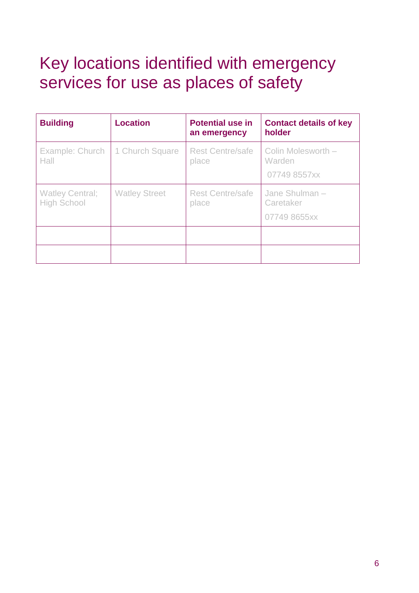## <span id="page-5-0"></span>Key locations identified with emergency services for use as places of safety

| <b>Building</b>                              | <b>Location</b>      | <b>Potential use in</b><br>an emergency | <b>Contact details of key</b><br>holder      |
|----------------------------------------------|----------------------|-----------------------------------------|----------------------------------------------|
| Example: Church<br>Hall                      | 1 Church Square      | <b>Rest Centre/safe</b><br>place        | Colin Molesworth -<br>Warden<br>07749 8557xx |
| <b>Watley Central;</b><br><b>High School</b> | <b>Watley Street</b> | <b>Rest Centre/safe</b><br>place        | Jane Shulman -<br>Caretaker<br>07749 8655xx  |
|                                              |                      |                                         |                                              |
|                                              |                      |                                         |                                              |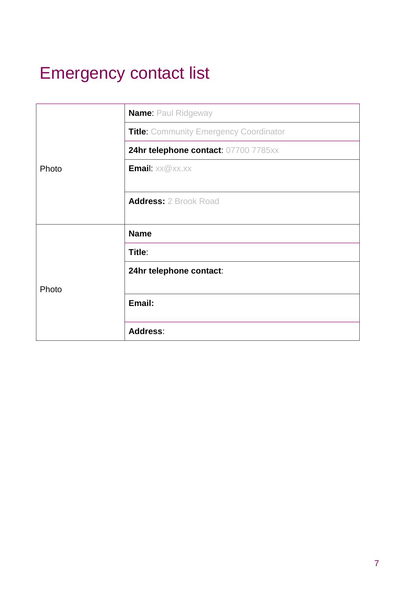## <span id="page-6-0"></span>Emergency contact list

|       | <b>Name: Paul Ridgeway</b>                              |  |
|-------|---------------------------------------------------------|--|
|       | <b>Title: Community Emergency Coordinator</b>           |  |
|       | 24hr telephone contact: 07700 7785xx<br>Email: xx@xx.xx |  |
| Photo |                                                         |  |
|       | <b>Address: 2 Brook Road</b>                            |  |
|       | <b>Name</b>                                             |  |
|       | Title:                                                  |  |
|       | 24hr telephone contact:                                 |  |
| Photo |                                                         |  |
|       | Email:                                                  |  |
|       | <b>Address:</b>                                         |  |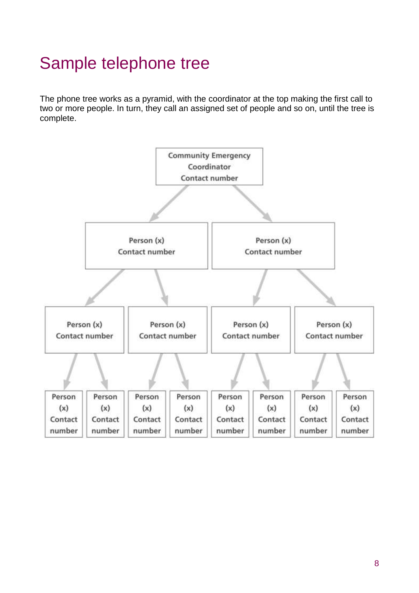## <span id="page-7-0"></span>Sample telephone tree

The phone tree works as a pyramid, with the coordinator at the top making the first call to two or more people. In turn, they call an assigned set of people and so on, until the tree is complete.

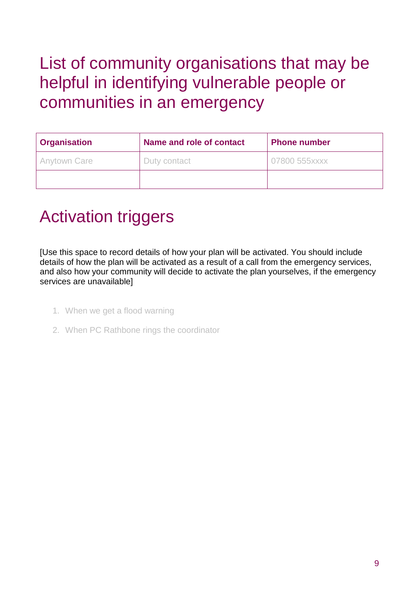## <span id="page-8-0"></span>List of community organisations that may be helpful in identifying vulnerable people or communities in an emergency

| <b>Organisation</b> | Name and role of contact | <b>Phone number</b> |  |
|---------------------|--------------------------|---------------------|--|
| <b>Anytown Care</b> | Duty contact             | 07800 555xxxx       |  |
|                     |                          |                     |  |

#### <span id="page-8-1"></span>Activation triggers

[Use this space to record details of how your plan will be activated. You should include details of how the plan will be activated as a result of a call from the emergency services, and also how your community will decide to activate the plan yourselves, if the emergency services are unavailable]

- 1. When we get a flood warning
- 2. When PC Rathbone rings the coordinator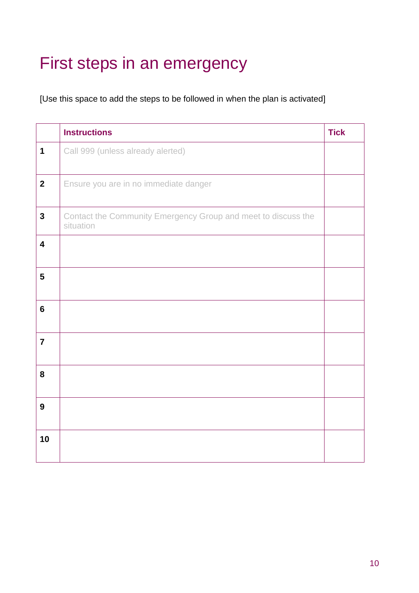## <span id="page-9-0"></span>First steps in an emergency

[Use this space to add the steps to be followed in when the plan is activated]

|                         | <b>Instructions</b>                                                        | <b>Tick</b> |
|-------------------------|----------------------------------------------------------------------------|-------------|
| $\mathbf 1$             | Call 999 (unless already alerted)                                          |             |
| $\mathbf{2}$            | Ensure you are in no immediate danger                                      |             |
| $\overline{3}$          | Contact the Community Emergency Group and meet to discuss the<br>situation |             |
| $\overline{\mathbf{4}}$ |                                                                            |             |
| $5\phantom{.0}$         |                                                                            |             |
| $6\phantom{a}$          |                                                                            |             |
| $\overline{7}$          |                                                                            |             |
| 8                       |                                                                            |             |
| $\boldsymbol{9}$        |                                                                            |             |
| 10                      |                                                                            |             |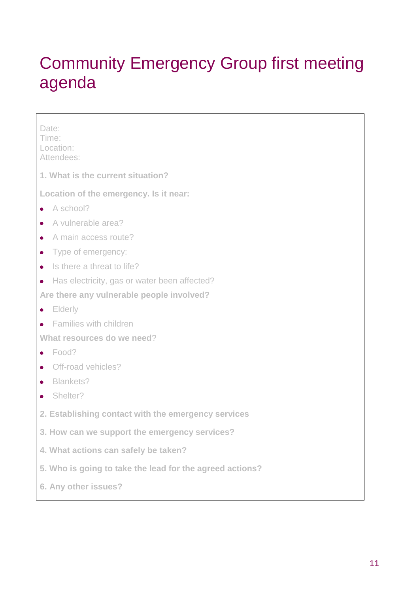## <span id="page-10-0"></span>Community Emergency Group first meeting agenda

| Date:<br>Time:<br>Location:<br>Attendees:                |
|----------------------------------------------------------|
| 1. What is the current situation?                        |
| Location of the emergency. Is it near:                   |
| A school?<br>$\bullet$                                   |
| A vulnerable area?                                       |
| A main access route?<br>$\bullet$                        |
| Type of emergency:<br>٠                                  |
| Is there a threat to life?<br>$\bullet$                  |
| Has electricity, gas or water been affected?<br>٠        |
| Are there any vulnerable people involved?                |
| Elderly<br>$\bullet$                                     |
| Families with children                                   |
| What resources do we need?                               |
| Food?<br>$\bullet$                                       |
| Off-road vehicles?                                       |
| Blankets?                                                |
| Shelter?                                                 |
| 2. Establishing contact with the emergency services      |
| 3. How can we support the emergency services?            |
| 4. What actions can safely be taken?                     |
| 5. Who is going to take the lead for the agreed actions? |
| 6. Any other issues?                                     |